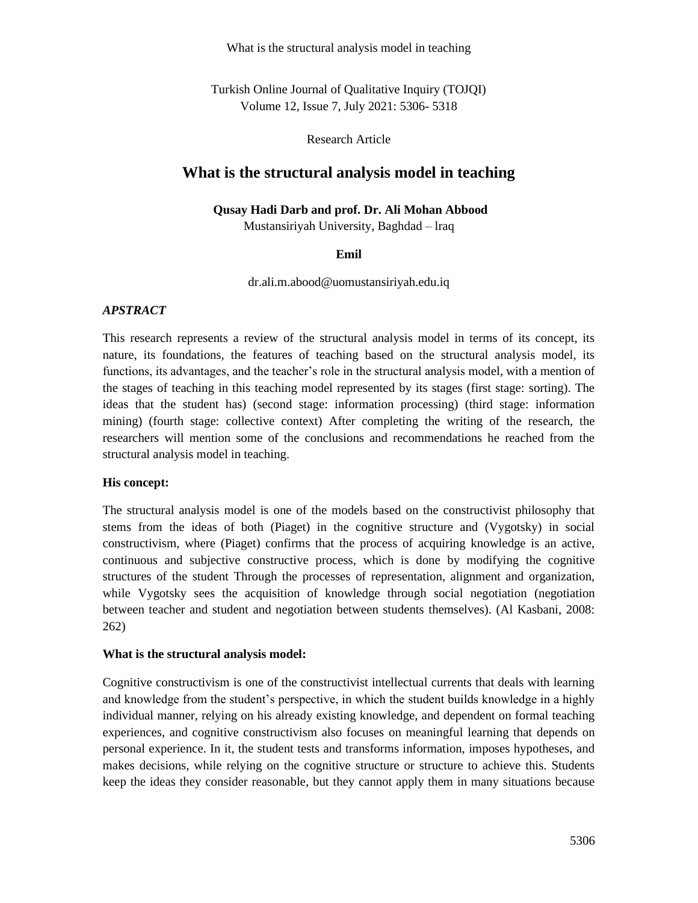What is the structural analysis model in teaching

Turkish Online Journal of Qualitative Inquiry (TOJQI) Volume 12, Issue 7, July 2021: 5306- 5318

Research Article

## **What is the structural analysis model in teaching**

#### **Qusay Hadi Darb and prof. Dr. Ali Mohan Abbood**

Mustansiriyah University, Baghdad – lraq

#### **Emil**

dr.ali.m.abood@uomustansiriyah.edu.iq

#### *APSTRACT*

This research represents a review of the structural analysis model in terms of its concept, its nature, its foundations, the features of teaching based on the structural analysis model, its functions, its advantages, and the teacher's role in the structural analysis model, with a mention of the stages of teaching in this teaching model represented by its stages (first stage: sorting). The ideas that the student has) (second stage: information processing) (third stage: information mining) (fourth stage: collective context) After completing the writing of the research, the researchers will mention some of the conclusions and recommendations he reached from the structural analysis model in teaching.

## **His concept:**

The structural analysis model is one of the models based on the constructivist philosophy that stems from the ideas of both (Piaget) in the cognitive structure and (Vygotsky) in social constructivism, where (Piaget) confirms that the process of acquiring knowledge is an active, continuous and subjective constructive process, which is done by modifying the cognitive structures of the student Through the processes of representation, alignment and organization, while Vygotsky sees the acquisition of knowledge through social negotiation (negotiation between teacher and student and negotiation between students themselves). (Al Kasbani, 2008: 262)

#### **What is the structural analysis model :**

Cognitive constructivism is one of the constructivist intellectual currents that deals with learning and knowledge from the student's perspective, in which the student builds knowledge in a highly individual manner, relying on his already existing knowledge, and dependent on formal teaching experiences, and cognitive constructivism also focuses on meaningful learning that depends on personal experience. In it, the student tests and transforms information, imposes hypotheses, and makes decisions, while relying on the cognitive structure or structure to achieve this. Students keep the ideas they consider reasonable, but they cannot apply them in many situations because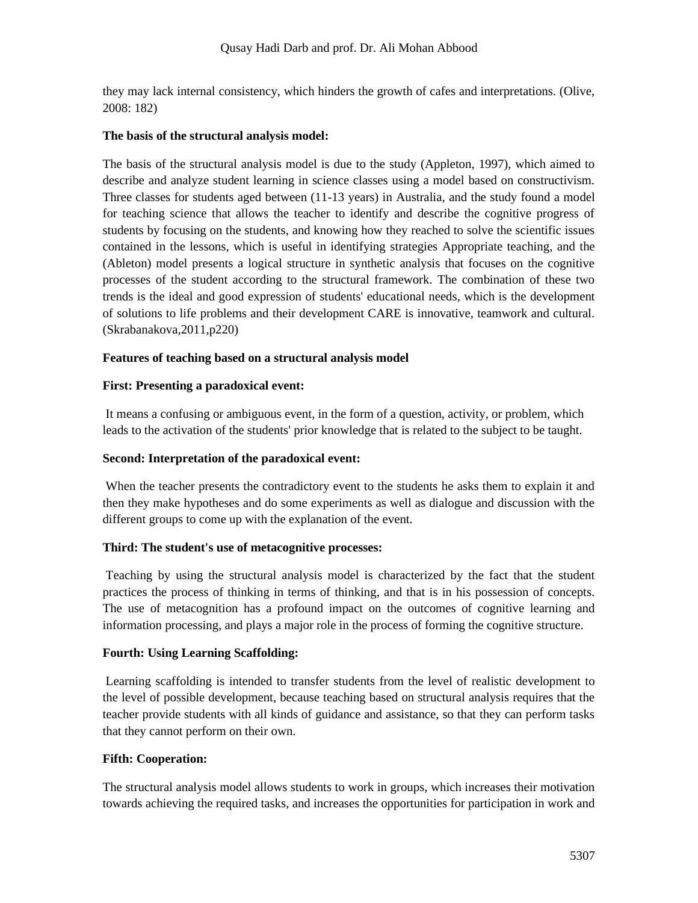they may lack internal consistency, which hinders the growth of cafes and interpretations. (Olive, 2008: 182)

#### **The basis of the structural analysis model:**

The basis of the structural analysis model is due to the study (Appleton, 1997), which aimed to describe and analyze student learning in science classes using a model based on constructivism. Three classes for students aged between (11-13 years) in Australia, and the study found a model for teaching science that allows the teacher to identify and describe the cognitive progress of students by focusing on the students, and knowing how they reached to solve the scientific issues contained in the lessons, which is useful in identifying strategies Appropriate teaching, and the (Ableton) model presents a logical structure in synthetic analysis that focuses on the cognitive processes of the student according to the structural framework. The combination of these two trends is the ideal and good expression of students' educational needs, which is the development of solutions to life problems and their development CARE is innovative, teamwork and cultural. (Skrabanakova,2011,p220)

## **Features of teaching based on a structural analysis model**

## **First: Presenting a paradoxical event:**

It means a confusing or ambiguous event, in the form of a question, activity, or problem, which leads to the activation of the students' prior knowledge that is related to the subject to be taught.

## **Second: Interpretation of the paradoxical event:**

When the teacher presents the contradictory event to the students he asks them to explain it and then they make hypotheses and do some experiments as well as dialogue and discussion with the different groups to come up with the explanation of the event.

## **Third: The student's use of metacognitive processes:**

Teaching by using the structural analysis model is characterized by the fact that the student practices the process of thinking in terms of thinking, and that is in his possession of concepts. The use of metacognition has a profound impact on the outcomes of cognitive learning and information processing, and plays a major role in the process of forming the cognitive structure.

## **Fourth: Using Learning Scaffolding:**

Learning scaffolding is intended to transfer students from the level of realistic development to the level of possible development, because teaching based on structural analysis requires that the teacher provide students with all kinds of guidance and assistance, so that they can perform tasks that they cannot perform on their own.

## **Fifth: Cooperation:**

The structural analysis model allows students to work in groups, which increases their motivation towards achieving the required tasks, and increases the opportunities for participation in work and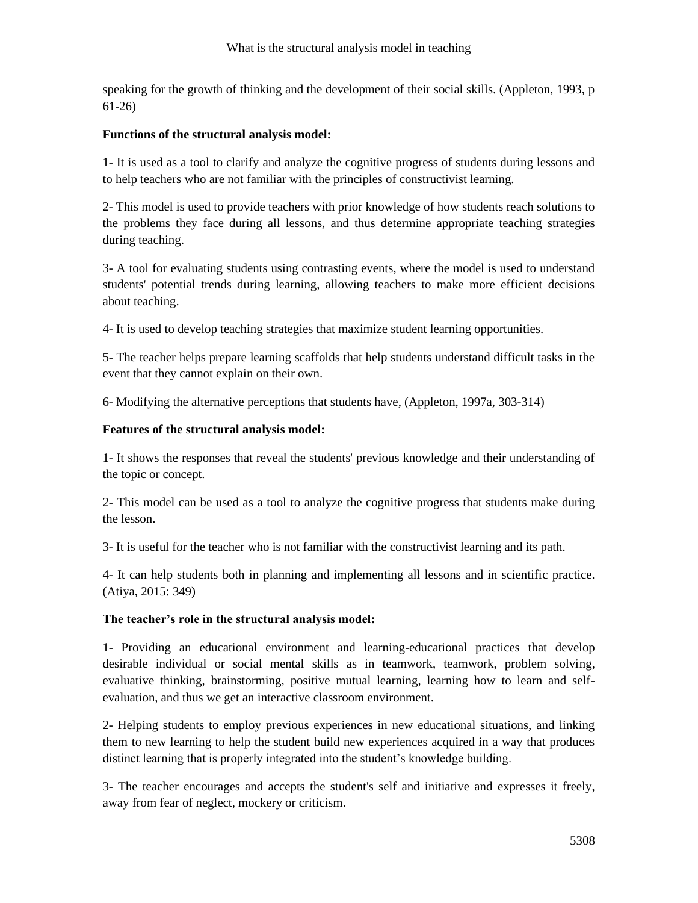speaking for the growth of thinking and the development of their social skills. (Appleton, 1993, p 61-26)

## **Functions of the structural analysis model:**

1- It is used as a tool to clarify and analyze the cognitive progress of students during lessons and to help teachers who are not familiar with the principles of constructivist learning.

2- This model is used to provide teachers with prior knowledge of how students reach solutions to the problems they face during all lessons, and thus determine appropriate teaching strategies during teaching.

3- A tool for evaluating students using contrasting events, where the model is used to understand students' potential trends during learning, allowing teachers to make more efficient decisions about teaching.

4- It is used to develop teaching strategies that maximize student learning opportunities.

5- The teacher helps prepare learning scaffolds that help students understand difficult tasks in the event that they cannot explain on their own.

6- Modifying the alternative perceptions that students have, (Appleton, 1997a, 303-314)

## **Features of the structural analysis model:**

1- It shows the responses that reveal the students' previous knowledge and their understanding of the topic or concept.

2- This model can be used as a tool to analyze the cognitive progress that students make during the lesson.

3- It is useful for the teacher who is not familiar with the constructivist learning and its path.

4- It can help students both in planning and implementing all lessons and in scientific practice. (Atiya, 2015: 349)

## **The teacher's role in the structural analysis model:**

1- Providing an educational environment and learning-educational practices that develop desirable individual or social mental skills as in teamwork, teamwork, problem solving, evaluative thinking, brainstorming, positive mutual learning, learning how to learn and selfevaluation, and thus we get an interactive classroom environment.

2- Helping students to employ previous experiences in new educational situations, and linking them to new learning to help the student build new experiences acquired in a way that produces distinct learning that is properly integrated into the student's knowledge building.

3- The teacher encourages and accepts the student's self and initiative and expresses it freely, away from fear of neglect, mockery or criticism.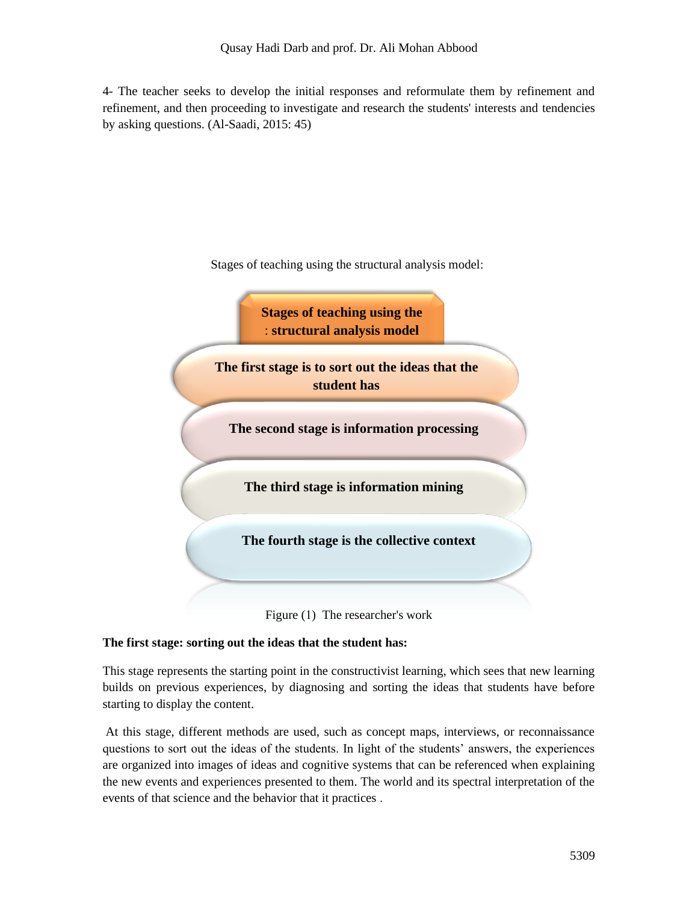4- The teacher seeks to develop the initial responses and reformulate them by refinement and refinement, and then proceeding to investigate and research the students' interests and tendencies by asking questions. (Al-Saadi, 2015: 45)





## **The first stage: sorting out the ideas that the student has:**

This stage represents the starting point in the constructivist learning, which sees that new learning builds on previous experiences, by diagnosing and sorting the ideas that students have before starting to display the content.

At this stage, different methods are used, such as concept maps, interviews, or reconnaissance questions to sort out the ideas of the students. In light of the students' answers, the experiences are organized into images of ideas and cognitive systems that can be referenced when explaining the new events and experiences presented to them. The world and its spectral interpretation of the events of that science and the behavior that it practices .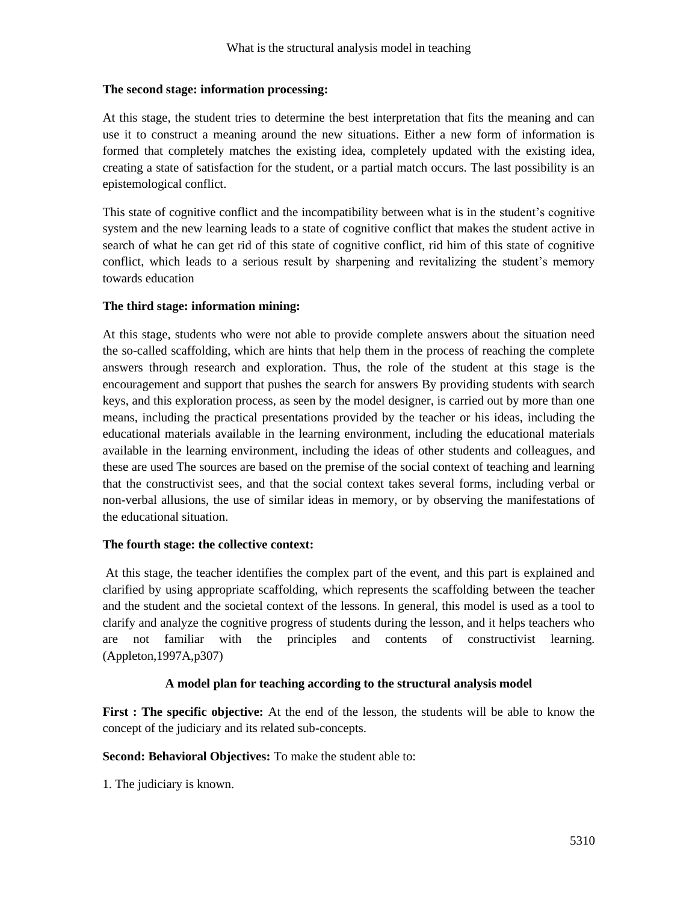## **The second stage: information processing:**

At this stage, the student tries to determine the best interpretation that fits the meaning and can use it to construct a meaning around the new situations. Either a new form of information is formed that completely matches the existing idea, completely updated with the existing idea, creating a state of satisfaction for the student, or a partial match occurs. The last possibility is an epistemological conflict.

This state of cognitive conflict and the incompatibility between what is in the student's cognitive system and the new learning leads to a state of cognitive conflict that makes the student active in search of what he can get rid of this state of cognitive conflict, rid him of this state of cognitive conflict, which leads to a serious result by sharpening and revitalizing the student's memory towards education

## **The third stage: information mining:**

At this stage, students who were not able to provide complete answers about the situation need the so-called scaffolding, which are hints that help them in the process of reaching the complete answers through research and exploration. Thus, the role of the student at this stage is the encouragement and support that pushes the search for answers By providing students with search keys, and this exploration process, as seen by the model designer, is carried out by more than one means, including the practical presentations provided by the teacher or his ideas, including the educational materials available in the learning environment, including the educational materials available in the learning environment, including the ideas of other students and colleagues, and these are used The sources are based on the premise of the social context of teaching and learning that the constructivist sees, and that the social context takes several forms, including verbal or non-verbal allusions, the use of similar ideas in memory, or by observing the manifestations of the educational situation.

## **The fourth stage: the collective context:**

At this stage, the teacher identifies the complex part of the event, and this part is explained and clarified by using appropriate scaffolding, which represents the scaffolding between the teacher and the student and the societal context of the lessons. In general, this model is used as a tool to clarify and analyze the cognitive progress of students during the lesson, and it helps teachers who are not familiar with the principles and contents of constructivist learning. (Appleton,1997A,p307)

## **A model plan for teaching according to the structural analysis model**

**First : The specific objective:** At the end of the lesson, the students will be able to know the concept of the judiciary and its related sub-concepts.

**Second: Behavioral Objectives:** To make the student able to:

1. The judiciary is known.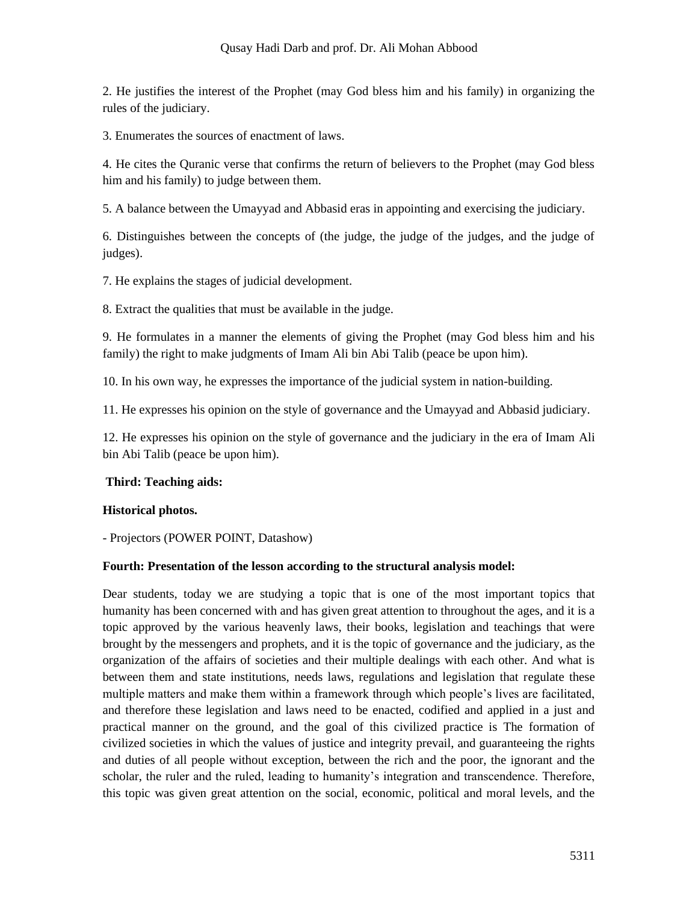2. He justifies the interest of the Prophet (may God bless him and his family) in organizing the rules of the judiciary.

3. Enumerates the sources of enactment of laws.

4. He cites the Quranic verse that confirms the return of believers to the Prophet (may God bless him and his family) to judge between them.

5. A balance between the Umayyad and Abbasid eras in appointing and exercising the judiciary.

6. Distinguishes between the concepts of (the judge, the judge of the judges, and the judge of judges).

7. He explains the stages of judicial development.

8. Extract the qualities that must be available in the judge.

9. He formulates in a manner the elements of giving the Prophet (may God bless him and his family) the right to make judgments of Imam Ali bin Abi Talib (peace be upon him).

10. In his own way, he expresses the importance of the judicial system in nation-building.

11. He expresses his opinion on the style of governance and the Umayyad and Abbasid judiciary.

12. He expresses his opinion on the style of governance and the judiciary in the era of Imam Ali bin Abi Talib (peace be upon him).

## **Third: Teaching aids:**

#### **Historical photos.**

- Projectors (POWER POINT, Datashow)

#### **Fourth: Presentation of the lesson according to the structural analysis model:**

Dear students, today we are studying a topic that is one of the most important topics that humanity has been concerned with and has given great attention to throughout the ages, and it is a topic approved by the various heavenly laws, their books, legislation and teachings that were brought by the messengers and prophets, and it is the topic of governance and the judiciary, as the organization of the affairs of societies and their multiple dealings with each other. And what is between them and state institutions, needs laws, regulations and legislation that regulate these multiple matters and make them within a framework through which people's lives are facilitated, and therefore these legislation and laws need to be enacted, codified and applied in a just and practical manner on the ground, and the goal of this civilized practice is The formation of civilized societies in which the values of justice and integrity prevail, and guaranteeing the rights and duties of all people without exception, between the rich and the poor, the ignorant and the scholar, the ruler and the ruled, leading to humanity's integration and transcendence. Therefore, this topic was given great attention on the social, economic, political and moral levels, and the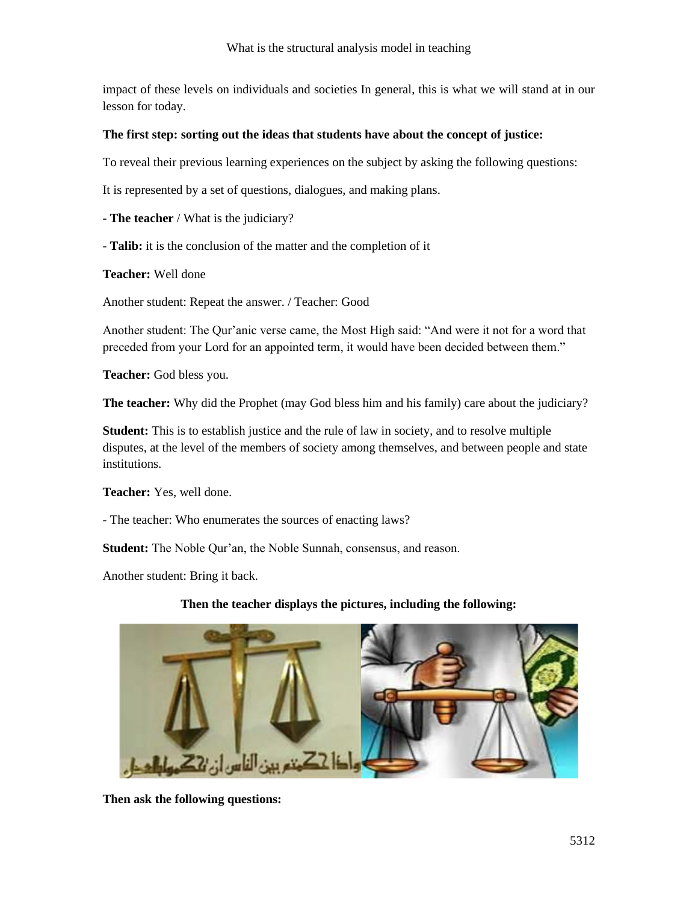impact of these levels on individuals and societies In general, this is what we will stand at in our lesson for today.

## **The first step: sorting out the ideas that students have about the concept of justice:**

To reveal their previous learning experiences on the subject by asking the following questions:

It is represented by a set of questions, dialogues, and making plans.

- **The teacher** / What is the judiciary?

- **Talib:** it is the conclusion of the matter and the completion of it

**Teacher:** Well done

Another student: Repeat the answer. / Teacher: Good

Another student: The Qur'anic verse came, the Most High said: "And were it not for a word that preceded from your Lord for an appointed term, it would have been decided between them."

**Teacher:** God bless you.

**The teacher:** Why did the Prophet (may God bless him and his family) care about the judiciary?

**Student:** This is to establish justice and the rule of law in society, and to resolve multiple disputes, at the level of the members of society among themselves, and between people and state institutions.

**Teacher:** Yes, well done.

- The teacher: Who enumerates the sources of enacting laws?

**Student:** The Noble Qur'an, the Noble Sunnah, consensus, and reason.

Another student: Bring it back.

## **Then the teacher displays the pictures, including the following:**



**Then ask the following questions:**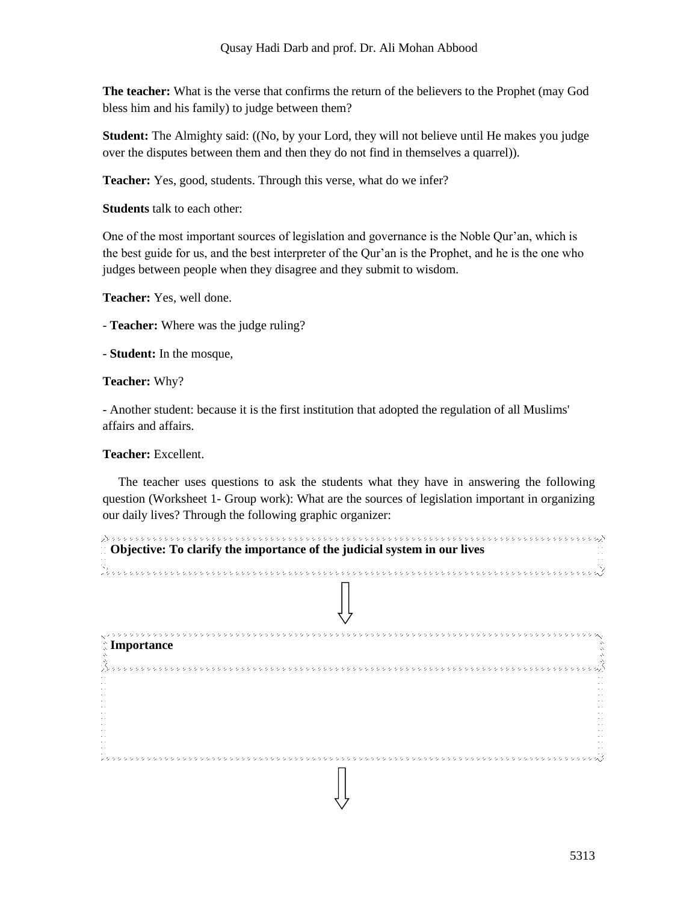**The teacher:** What is the verse that confirms the return of the believers to the Prophet (may God bless him and his family) to judge between them?

**Student:** The Almighty said: ((No, by your Lord, they will not believe until He makes you judge over the disputes between them and then they do not find in themselves a quarrel)).

**Teacher:** Yes, good, students. Through this verse, what do we infer?

**Students** talk to each other:

One of the most important sources of legislation and governance is the Noble Qur'an, which is the best guide for us, and the best interpreter of the Qur'an is the Prophet, and he is the one who judges between people when they disagree and they submit to wisdom.

**Teacher:** Yes, well done.

- **Teacher:** Where was the judge ruling?

- **Student:** In the mosque,

**Teacher:** Why?

- Another student: because it is the first institution that adopted the regulation of all Muslims' affairs and affairs.

**Teacher:** Excellent.

 The teacher uses questions to ask the students what they have in answering the following question (Worksheet 1- Group work): What are the sources of legislation important in organizing our daily lives? Through the following graphic organizer:

| <b>Community</b> Objective: To clarify the importance of the judicial system in our lives |
|-------------------------------------------------------------------------------------------|
|                                                                                           |
|                                                                                           |
| $\hat{N}$ Importance                                                                      |
|                                                                                           |
|                                                                                           |
|                                                                                           |
|                                                                                           |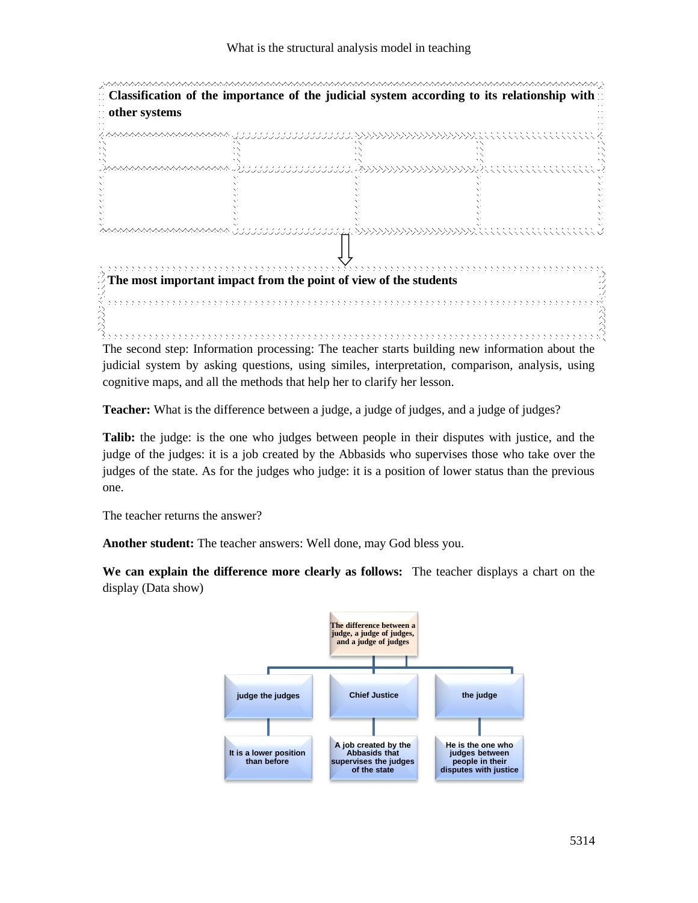

The second step: Information processing: The teacher starts building new information about the judicial system by asking questions, using similes, interpretation, comparison, analysis, using cognitive maps, and all the methods that help her to clarify her lesson.

**Teacher:** What is the difference between a judge, a judge of judges, and a judge of judges?

**Talib:** the judge: is the one who judges between people in their disputes with justice, and the judge of the judges: it is a job created by the Abbasids who supervises those who take over the judges of the state. As for the judges who judge: it is a position of lower status than the previous one.

The teacher returns the answer?

**Another student:** The teacher answers: Well done, may God bless you.

**We can explain the difference more clearly as follows:** The teacher displays a chart on the display (Data show)

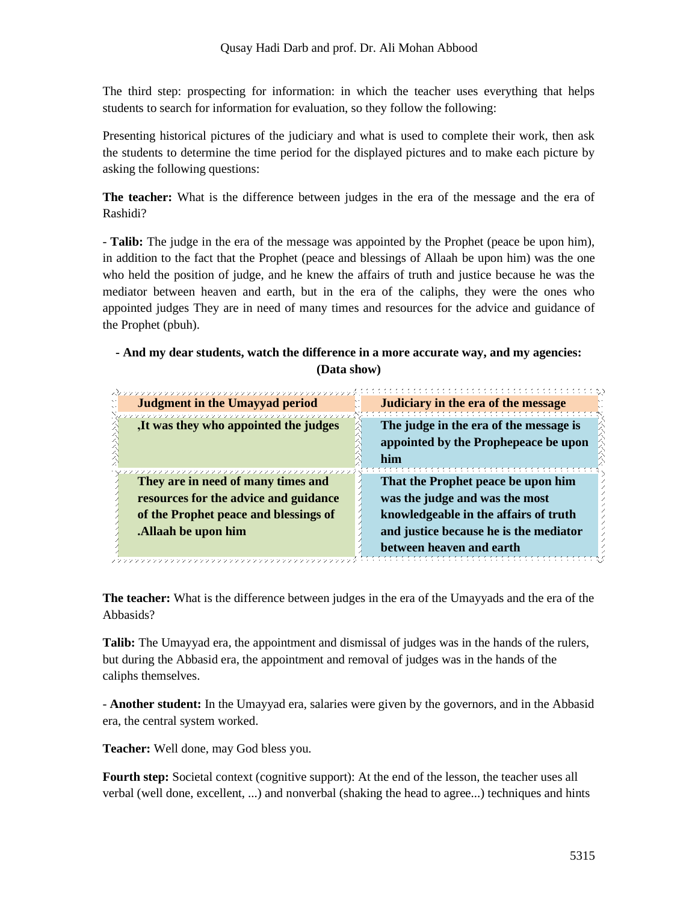The third step: prospecting for information: in which the teacher uses everything that helps students to search for information for evaluation, so they follow the following:

Presenting historical pictures of the judiciary and what is used to complete their work, then ask the students to determine the time period for the displayed pictures and to make each picture by asking the following questions:

**The teacher:** What is the difference between judges in the era of the message and the era of Rashidi?

- **Talib:** The judge in the era of the message was appointed by the Prophet (peace be upon him), in addition to the fact that the Prophet (peace and blessings of Allaah be upon him) was the one who held the position of judge, and he knew the affairs of truth and justice because he was the mediator between heaven and earth, but in the era of the caliphs, they were the ones who appointed judges They are in need of many times and resources for the advice and guidance of the Prophet (pbuh).

# **- And my dear students, watch the difference in a more accurate way, and my agencies: (Data show)**

| <b>Judgment in the Umayyad period</b>            | Judiciary in the era of the message                                                   |
|--------------------------------------------------|---------------------------------------------------------------------------------------|
| 7777777<br>,It was they who appointed the judges | The judge in the era of the message is<br>appointed by the Prophepeace be upon<br>him |
| They are in need of many times and               | That the Prophet peace be upon him                                                    |
| resources for the advice and guidance            | was the judge and was the most                                                        |
| of the Prophet peace and blessings of            | knowledgeable in the affairs of truth                                                 |
| . Allaah be upon him                             | and justice because he is the mediator                                                |
|                                                  | between heaven and earth                                                              |

**The teacher:** What is the difference between judges in the era of the Umayyads and the era of the Abbasids?

**Talib:** The Umayyad era, the appointment and dismissal of judges was in the hands of the rulers, but during the Abbasid era, the appointment and removal of judges was in the hands of the caliphs themselves.

- **Another student:** In the Umayyad era, salaries were given by the governors, and in the Abbasid era, the central system worked.

**Teacher:** Well done, may God bless you.

**Fourth step:** Societal context (cognitive support): At the end of the lesson, the teacher uses all verbal (well done, excellent, ...) and nonverbal (shaking the head to agree...) techniques and hints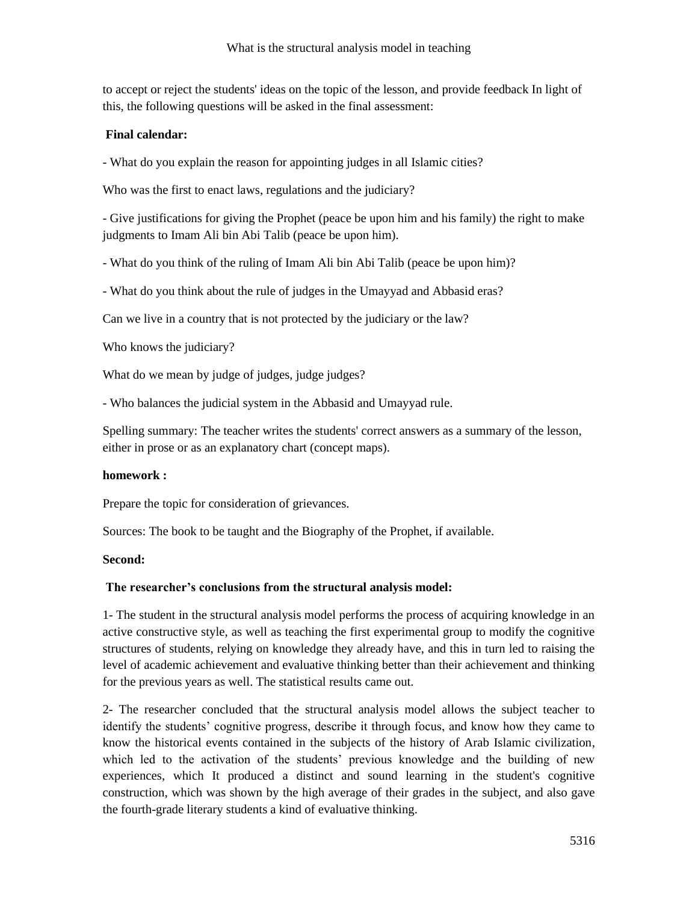to accept or reject the students' ideas on the topic of the lesson, and provide feedback In light of this, the following questions will be asked in the final assessment:

## **Final calendar:**

- What do you explain the reason for appointing judges in all Islamic cities?

Who was the first to enact laws, regulations and the judiciary?

- Give justifications for giving the Prophet (peace be upon him and his family) the right to make judgments to Imam Ali bin Abi Talib (peace be upon him).

- What do you think of the ruling of Imam Ali bin Abi Talib (peace be upon him)?

- What do you think about the rule of judges in the Umayyad and Abbasid eras?

Can we live in a country that is not protected by the judiciary or the law?

Who knows the judiciary?

What do we mean by judge of judges, judge judges?

- Who balances the judicial system in the Abbasid and Umayyad rule.

Spelling summary: The teacher writes the students' correct answers as a summary of the lesson, either in prose or as an explanatory chart (concept maps).

## **homework :**

Prepare the topic for consideration of grievances.

Sources: The book to be taught and the Biography of the Prophet, if available.

## **Second:**

## **The researcher's conclusions from the structural analysis model:**

1- The student in the structural analysis model performs the process of acquiring knowledge in an active constructive style, as well as teaching the first experimental group to modify the cognitive structures of students, relying on knowledge they already have, and this in turn led to raising the level of academic achievement and evaluative thinking better than their achievement and thinking for the previous years as well. The statistical results came out.

2- The researcher concluded that the structural analysis model allows the subject teacher to identify the students' cognitive progress, describe it through focus, and know how they came to know the historical events contained in the subjects of the history of Arab Islamic civilization, which led to the activation of the students' previous knowledge and the building of new experiences, which It produced a distinct and sound learning in the student's cognitive construction, which was shown by the high average of their grades in the subject, and also gave the fourth-grade literary students a kind of evaluative thinking.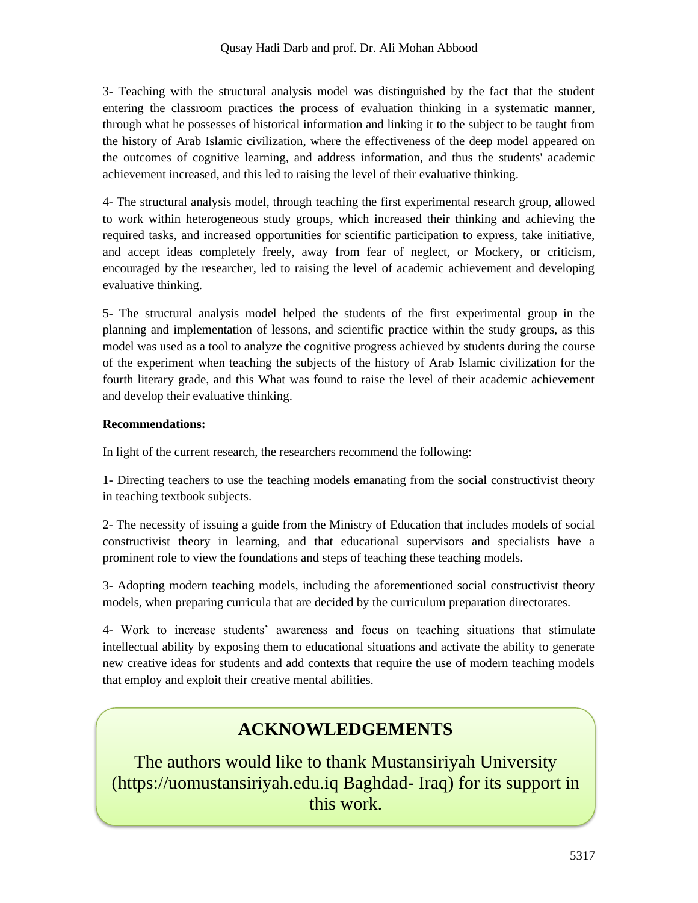3- Teaching with the structural analysis model was distinguished by the fact that the student entering the classroom practices the process of evaluation thinking in a systematic manner, through what he possesses of historical information and linking it to the subject to be taught from the history of Arab Islamic civilization, where the effectiveness of the deep model appeared on the outcomes of cognitive learning, and address information, and thus the students' academic achievement increased, and this led to raising the level of their evaluative thinking.

4- The structural analysis model, through teaching the first experimental research group, allowed to work within heterogeneous study groups, which increased their thinking and achieving the required tasks, and increased opportunities for scientific participation to express, take initiative, and accept ideas completely freely, away from fear of neglect, or Mockery, or criticism, encouraged by the researcher, led to raising the level of academic achievement and developing evaluative thinking.

5- The structural analysis model helped the students of the first experimental group in the planning and implementation of lessons, and scientific practice within the study groups, as this model was used as a tool to analyze the cognitive progress achieved by students during the course of the experiment when teaching the subjects of the history of Arab Islamic civilization for the fourth literary grade, and this What was found to raise the level of their academic achievement and develop their evaluative thinking.

# **Recommendations:**

In light of the current research, the researchers recommend the following:

1- Directing teachers to use the teaching models emanating from the social constructivist theory in teaching textbook subjects.

2- The necessity of issuing a guide from the Ministry of Education that includes models of social constructivist theory in learning, and that educational supervisors and specialists have a prominent role to view the foundations and steps of teaching these teaching models.

3- Adopting modern teaching models, including the aforementioned social constructivist theory models, when preparing curricula that are decided by the curriculum preparation directorates.

4- Work to increase students' awareness and focus on teaching situations that stimulate intellectual ability by exposing them to educational situations and activate the ability to generate new creative ideas for students and add contexts that require the use of modern teaching models that employ and exploit their creative mental abilities.

# **ACKNOWLEDGEMENTS**

The authors would like to thank Mustansiriyah University (https://uomustansiriyah.edu.iq Baghdad- Iraq) for its support in this work.